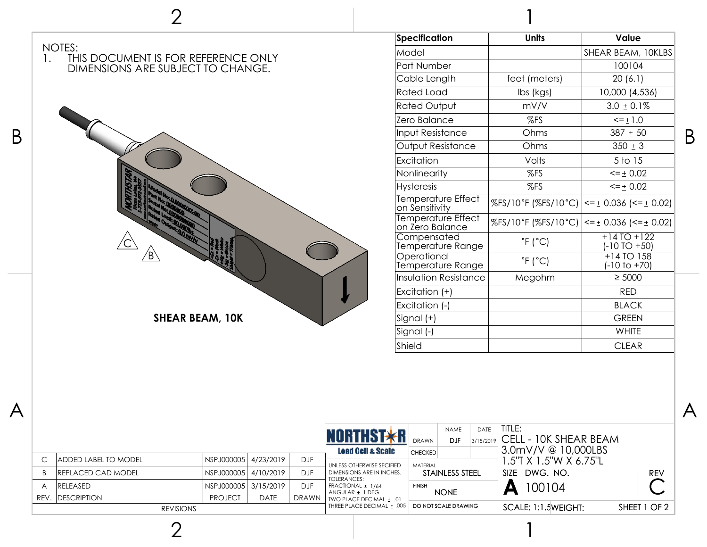

|                  |                              |                       |             |              | <b>NORTHST*R</b>                               | <b>DRAWN</b>                      | <b>NAME</b><br><b>DJF</b> | DATE | TITLE:                                           |                     | $3/15/2019$ CELL - 10K SHEAR BEAM |              |            |
|------------------|------------------------------|-----------------------|-------------|--------------|------------------------------------------------|-----------------------------------|---------------------------|------|--------------------------------------------------|---------------------|-----------------------------------|--------------|------------|
|                  | <b>JADDED LABEL TO MODEL</b> | NSPJ000005 4/23/2019  |             | <b>DJF</b>   | Load Cell & Scale<br>UNLESS OTHERWISE SECIFIED | <b>CHECKED</b><br><b>MATFRIAL</b> |                           |      | $3.0$ mV/V @ 10,000LBS<br>1.5"T X 1.5"W X 6.75"L |                     |                                   |              |            |
|                  | <b>IREPLACED CAD MODEL</b>   | NSPJ000005  4/10/2019 |             | DJF.         | DIMENSIONS ARE IN INCHES.<br>TOLERANCES:       | STAINLESS STEEL                   |                           |      |                                                  | SIZE DWG, NO.       |                                   |              | <b>REV</b> |
|                  | <b>IRELEASED</b>             | NSPJ000005 3/15/2019  |             | DJF          | FRACTIONAL ± 1/64<br>ANGULAR ± 1 DEG           | <b>FINISH</b><br><b>NONE</b>      |                           | А    | 100104                                           |                     |                                   |              |            |
| REV.             | <b>IDESCRIPTION</b>          | <b>PROJECT</b>        | <b>DATE</b> | <b>DRAWN</b> | TWO PLACE DECIMAL ± .01                        |                                   |                           |      |                                                  |                     |                                   |              |            |
| <b>REVISIONS</b> |                              |                       |             |              | THREE PLACE DECIMAL ± .005                     | DO NOT SCALE DRAWING              |                           |      |                                                  | SCALE: 1:1.5WEIGHT: |                                   | SHEET 1 OF 2 |            |

1

2